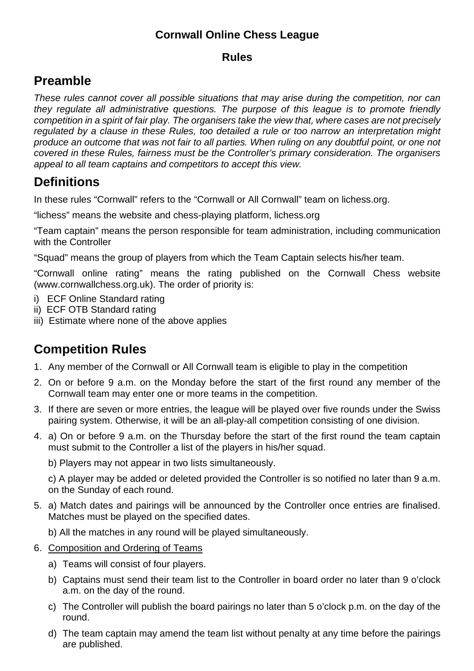### **Cornwall Online Chess League**

#### **Rules**

## **Preamble**

*These rules cannot cover all possible situations that may arise during the competition, nor can they regulate all administrative questions. The purpose of this league is to promote friendly*  competition in a spirit of fair play. The organisers take the view that, where cases are not precisely *regulated by a clause in these Rules, too detailed a rule or too narrow an interpretation might*  produce an outcome that was not fair to all parties. When ruling on any doubtful point, or one not *covered in these Rules, fairness must be the Controller's primary consideration. The organisers appeal to all team captains and competitors to accept this view.* 

# **Definitions**

In these rules "Cornwall" refers to the "Cornwall or All Cornwall" team on lichess.org.

"lichess" means the website and chess-playing platform, lichess.org

"Team captain" means the person responsible for team administration, including communication with the Controller

"Squad" means the group of players from which the Team Captain selects his/her team.

"Cornwall online rating" means the rating published on the Cornwall Chess website (www.cornwallchess.org.uk). The order of priority is:

- i) ECF Online Standard rating
- ii) ECF OTB Standard rating
- iii) Estimate where none of the above applies

# **Competition Rules**

- 1. Any member of the Cornwall or All Cornwall team is eligible to play in the competition
- 2. On or before 9 a.m. on the Monday before the start of the first round any member of the Cornwall team may enter one or more teams in the competition.
- 3. If there are seven or more entries, the league will be played over five rounds under the Swiss pairing system. Otherwise, it will be an all-play-all competition consisting of one division.
- 4. a) On or before 9 a.m. on the Thursday before the start of the first round the team captain must submit to the Controller a list of the players in his/her squad.
	- b) Players may not appear in two lists simultaneously.

c) A player may be added or deleted provided the Controller is so notified no later than 9 a.m. on the Sunday of each round.

- 5. a) Match dates and pairings will be announced by the Controller once entries are finalised. Matches must be played on the specified dates.
	- b) All the matches in any round will be played simultaneously.
- 6. Composition and Ordering of Teams
	- a) Teams will consist of four players.
	- b) Captains must send their team list to the Controller in board order no later than 9 o'clock a.m. on the day of the round.
	- c) The Controller will publish the board pairings no later than 5 o'clock p.m. on the day of the round.
	- d) The team captain may amend the team list without penalty at any time before the pairings are published.